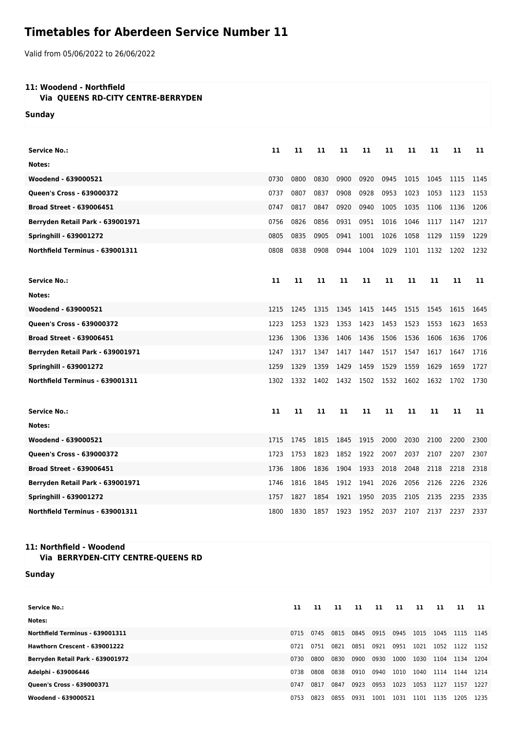## **Timetables for Aberdeen Service Number 11**

Valid from 05/06/2022 to 26/06/2022

## **11: Woodend - Northfield**

 **Via QUEENS RD-CITY CENTRE-BERRYDEN**

**Sunday**

| <b>Service No.:</b>              | 11   | 11   | 11   | 11   | 11   | 11   | 11   | 11   | 11   | 11   |
|----------------------------------|------|------|------|------|------|------|------|------|------|------|
| Notes:                           |      |      |      |      |      |      |      |      |      |      |
| Woodend - 639000521              | 0730 | 0800 | 0830 | 0900 | 0920 | 0945 | 1015 | 1045 | 1115 | 1145 |
| Queen's Cross - 639000372        | 0737 | 0807 | 0837 | 0908 | 0928 | 0953 | 1023 | 1053 | 1123 | 1153 |
| <b>Broad Street - 639006451</b>  | 0747 | 0817 | 0847 | 0920 | 0940 | 1005 | 1035 | 1106 | 1136 | 1206 |
| Berryden Retail Park - 639001971 | 0756 | 0826 | 0856 | 0931 | 0951 | 1016 | 1046 | 1117 | 1147 | 1217 |
| <b>Springhill - 639001272</b>    | 0805 | 0835 | 0905 | 0941 | 1001 | 1026 | 1058 | 1129 | 1159 | 1229 |
| Northfield Terminus - 639001311  | 0808 | 0838 | 0908 | 0944 | 1004 | 1029 | 1101 | 1132 | 1202 | 1232 |
| <b>Service No.:</b>              | 11   | 11   | 11   | 11   | 11   | 11   | 11   | 11   | 11   | 11   |
| Notes:                           |      |      |      |      |      |      |      |      |      |      |
| Woodend - 639000521              | 1215 | 1245 | 1315 | 1345 | 1415 | 1445 | 1515 | 1545 | 1615 | 1645 |
| Queen's Cross - 639000372        | 1223 | 1253 | 1323 | 1353 | 1423 | 1453 | 1523 | 1553 | 1623 | 1653 |
| <b>Broad Street - 639006451</b>  | 1236 | 1306 | 1336 | 1406 | 1436 | 1506 | 1536 | 1606 | 1636 | 1706 |
| Berryden Retail Park - 639001971 | 1247 | 1317 | 1347 | 1417 | 1447 | 1517 | 1547 | 1617 | 1647 | 1716 |
| <b>Springhill - 639001272</b>    | 1259 | 1329 | 1359 | 1429 | 1459 | 1529 | 1559 | 1629 | 1659 | 1727 |
| Northfield Terminus - 639001311  | 1302 | 1332 | 1402 | 1432 | 1502 | 1532 | 1602 | 1632 | 1702 | 1730 |
| <b>Service No.:</b>              | 11   | 11   | 11   | 11   | 11   | 11   | 11   | 11   | 11   | 11   |
| Notes:                           |      |      |      |      |      |      |      |      |      |      |
| Woodend - 639000521              | 1715 | 1745 | 1815 | 1845 | 1915 | 2000 | 2030 | 2100 | 2200 | 2300 |
| Queen's Cross - 639000372        | 1723 | 1753 | 1823 | 1852 | 1922 | 2007 | 2037 | 2107 | 2207 | 2307 |
| <b>Broad Street - 639006451</b>  | 1736 | 1806 | 1836 | 1904 | 1933 | 2018 | 2048 | 2118 | 2218 | 2318 |
| Berryden Retail Park - 639001971 | 1746 | 1816 | 1845 | 1912 | 1941 | 2026 | 2056 | 2126 | 2226 | 2326 |
| <b>Springhill - 639001272</b>    | 1757 | 1827 | 1854 | 1921 | 1950 | 2035 | 2105 | 2135 | 2235 | 2335 |
| Northfield Terminus - 639001311  | 1800 | 1830 | 1857 | 1923 | 1952 | 2037 | 2107 | 2137 | 2237 | 2337 |

## **11: Northfield - Woodend Via BERRYDEN-CITY CENTRE-QUEENS RD**

**Sunday**

| <b>Service No.:</b>              | 11   | 11   | 11   | 11   | 11   | 11   | 11   | 11   | 11   | -11  |
|----------------------------------|------|------|------|------|------|------|------|------|------|------|
| Notes:                           |      |      |      |      |      |      |      |      |      |      |
| Northfield Terminus - 639001311  | 0715 | 0745 | 0815 | 0845 | 0915 | 0945 | 1015 | 1045 | 1115 | 1145 |
| Hawthorn Crescent - 639001222    | 0721 | 0751 | 0821 | 0851 | 0921 | 0951 | 1021 | 1052 | 1122 | 1152 |
| Berryden Retail Park - 639001972 | 0730 | 0800 | 0830 | 0900 | 0930 | 1000 | 1030 | 1104 | 1134 | 1204 |
| Adelphi - 639006446              | 0738 | 0808 | 0838 | 0910 | 0940 | 1010 | 1040 | 1114 | 1144 | 1214 |
| Queen's Cross - 639000371        | 0747 | 0817 | 0847 | 0923 | 0953 | 1023 | 1053 | 1127 | 1157 | 1227 |
| Woodend - 639000521              | 0753 | 0823 | 0855 | 0931 | 1001 | 1031 | 1101 | 1135 | 1205 | 1235 |